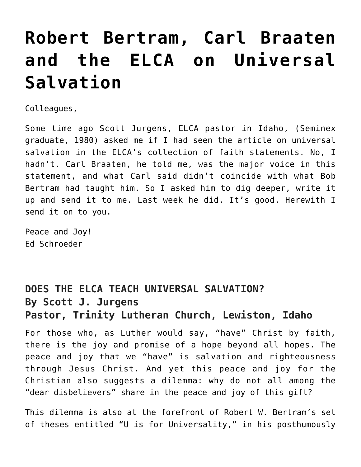## **[Robert Bertram, Carl Braaten](https://crossings.org/robert-bertram-carl-braaten-and-the-elca-on-universal-salvation/) [and the ELCA on Universal](https://crossings.org/robert-bertram-carl-braaten-and-the-elca-on-universal-salvation/) [Salvation](https://crossings.org/robert-bertram-carl-braaten-and-the-elca-on-universal-salvation/)**

Colleagues,

Some time ago Scott Jurgens, ELCA pastor in Idaho, (Seminex graduate, 1980) asked me if I had seen the article on universal salvation in the ELCA's collection of faith statements. No, I hadn't. Carl Braaten, he told me, was the major voice in this statement, and what Carl said didn't coincide with what Bob Bertram had taught him. So I asked him to dig deeper, write it up and send it to me. Last week he did. It's good. Herewith I send it on to you.

Peace and Joy! Ed Schroeder

## **DOES THE ELCA TEACH UNIVERSAL SALVATION? By Scott J. Jurgens Pastor, Trinity Lutheran Church, Lewiston, Idaho**

For those who, as Luther would say, "have" Christ by faith, there is the joy and promise of a hope beyond all hopes. The peace and joy that we "have" is salvation and righteousness through Jesus Christ. And yet this peace and joy for the Christian also suggests a dilemma: why do not all among the "dear disbelievers" share in the peace and joy of this gift?

This dilemma is also at the forefront of Robert W. Bertram's set of theses entitled "U is for Universality," in his posthumously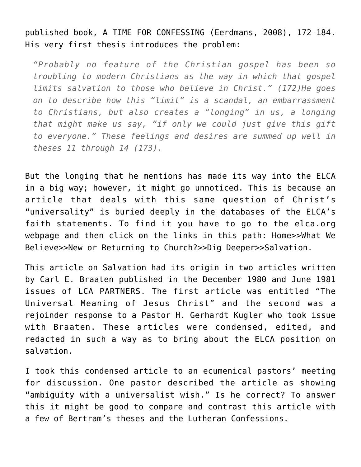published book, A TIME FOR CONFESSING (Eerdmans, 2008), 172-184. His very first thesis introduces the problem:

*"Probably no feature of the Christian gospel has been so troubling to modern Christians as the way in which that gospel limits salvation to those who believe in Christ." (172)He goes on to describe how this "limit" is a scandal, an embarrassment to Christians, but also creates a "longing" in us, a longing that might make us say, "if only we could just give this gift to everyone." These feelings and desires are summed up well in theses 11 through 14 (173).*

But the longing that he mentions has made its way into the ELCA in a big way; however, it might go unnoticed. This is because an article that deals with this same question of Christ's "universality" is buried deeply in the databases of the ELCA's faith statements. To find it you have to go to the elca.org webpage and then click on the links in this path: Home>>What We Believe>>New or Returning to Church?>>Dig Deeper>>Salvation.

This article on Salvation had its origin in two articles written by Carl E. Braaten published in the December 1980 and June 1981 issues of LCA PARTNERS. The first article was entitled "The Universal Meaning of Jesus Christ" and the second was a rejoinder response to a Pastor H. Gerhardt Kugler who took issue with Braaten. These articles were condensed, edited, and redacted in such a way as to bring about the ELCA position on salvation.

I took this condensed article to an ecumenical pastors' meeting for discussion. One pastor described the article as showing "ambiguity with a universalist wish." Is he correct? To answer this it might be good to compare and contrast this article with a few of Bertram's theses and the Lutheran Confessions.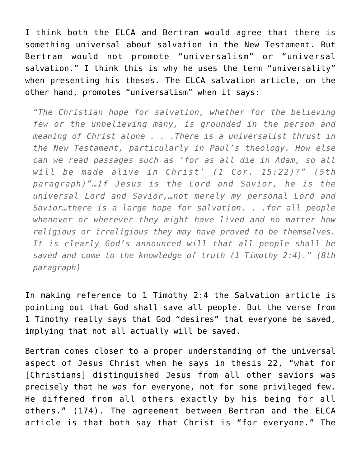I think both the ELCA and Bertram would agree that there is something universal about salvation in the New Testament. But Bertram would not promote "universalism" or "universal salvation." I think this is why he uses the term "universality" when presenting his theses. The ELCA salvation article, on the other hand, promotes "universalism" when it says:

*"The Christian hope for salvation, whether for the believing few or the unbelieving many, is grounded in the person and meaning of Christ alone . . .There is a universalist thrust in the New Testament, particularly in Paul's theology. How else can we read passages such as 'for as all die in Adam, so all will be made alive in Christ' (1 Cor. 15:22)?" (5th paragraph)"…If Jesus is the Lord and Savior, he is the universal Lord and Savior,…not merely my personal Lord and Savior…there is a large hope for salvation. . .for all people whenever or wherever they might have lived and no matter how religious or irreligious they may have proved to be themselves. It is clearly God's announced will that all people shall be saved and come to the knowledge of truth (1 Timothy 2:4)." (8th paragraph)*

In making reference to 1 Timothy 2:4 the Salvation article is pointing out that God shall save all people. But the verse from 1 Timothy really says that God "desires" that everyone be saved, implying that not all actually will be saved.

Bertram comes closer to a proper understanding of the universal aspect of Jesus Christ when he says in thesis 22, "what for [Christians] distinguished Jesus from all other saviors was precisely that he was for everyone, not for some privileged few. He differed from all others exactly by his being for all others." (174). The agreement between Bertram and the ELCA article is that both say that Christ is "for everyone." The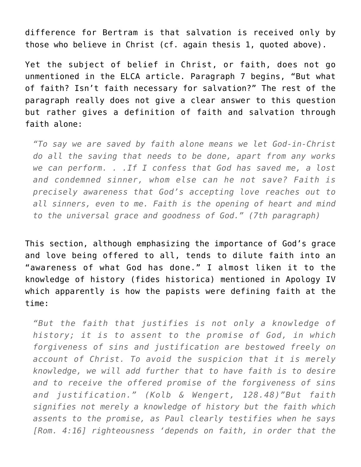difference for Bertram is that salvation is received only by those who believe in Christ (cf. again thesis 1, quoted above).

Yet the subject of belief in Christ, or faith, does not go unmentioned in the ELCA article. Paragraph 7 begins, "But what of faith? Isn't faith necessary for salvation?" The rest of the paragraph really does not give a clear answer to this question but rather gives a definition of faith and salvation through faith alone:

*"To say we are saved by faith alone means we let God-in-Christ do all the saving that needs to be done, apart from any works we can perform. . .If I confess that God has saved me, a lost and condemned sinner, whom else can he not save? Faith is precisely awareness that God's accepting love reaches out to all sinners, even to me. Faith is the opening of heart and mind to the universal grace and goodness of God." (7th paragraph)*

This section, although emphasizing the importance of God's grace and love being offered to all, tends to dilute faith into an "awareness of what God has done." I almost liken it to the knowledge of history (fides historica) mentioned in Apology IV which apparently is how the papists were defining faith at the time:

*"But the faith that justifies is not only a knowledge of history; it is to assent to the promise of God, in which forgiveness of sins and justification are bestowed freely on account of Christ. To avoid the suspicion that it is merely knowledge, we will add further that to have faith is to desire and to receive the offered promise of the forgiveness of sins and justification." (Kolb & Wengert, 128.48)"But faith signifies not merely a knowledge of history but the faith which assents to the promise, as Paul clearly testifies when he says [Rom. 4:16] righteousness 'depends on faith, in order that the*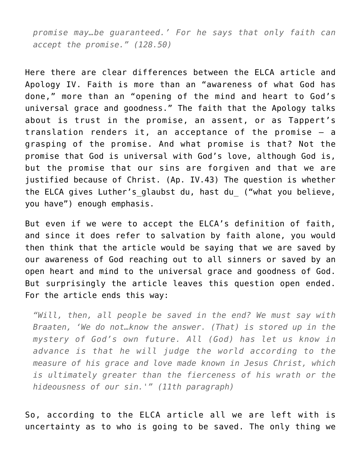*promise may…be guaranteed.' For he says that only faith can accept the promise." (128.50)*

Here there are clear differences between the ELCA article and Apology IV. Faith is more than an "awareness of what God has done," more than an "opening of the mind and heart to God's universal grace and goodness." The faith that the Apology talks about is trust in the promise, an assent, or as Tappert's translation renders it, an acceptance of the promise – a grasping of the promise. And what promise is that? Not the promise that God is universal with God's love, although God is, but the promise that our sins are forgiven and that we are justified because of Christ. (Ap. IV.43) The question is whether the ELCA gives Luther's glaubst du, hast du ("what you believe, you have") enough emphasis.

But even if we were to accept the ELCA's definition of faith, and since it does refer to salvation by faith alone, you would then think that the article would be saying that we are saved by our awareness of God reaching out to all sinners or saved by an open heart and mind to the universal grace and goodness of God. But surprisingly the article leaves this question open ended. For the article ends this way:

*"Will, then, all people be saved in the end? We must say with Braaten, 'We do not…know the answer. (That) is stored up in the mystery of God's own future. All (God) has let us know in advance is that he will judge the world according to the measure of his grace and love made known in Jesus Christ, which is ultimately greater than the fierceness of his wrath or the hideousness of our sin.'" (11th paragraph)*

So, according to the ELCA article all we are left with is uncertainty as to who is going to be saved. The only thing we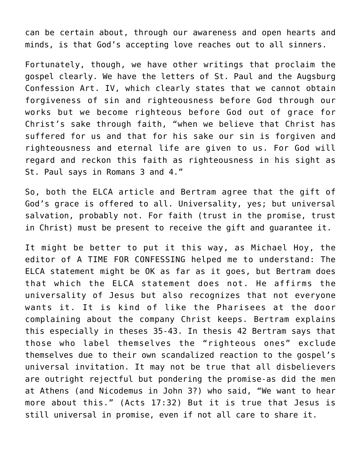can be certain about, through our awareness and open hearts and minds, is that God's accepting love reaches out to all sinners.

Fortunately, though, we have other writings that proclaim the gospel clearly. We have the letters of St. Paul and the Augsburg Confession Art. IV, which clearly states that we cannot obtain forgiveness of sin and righteousness before God through our works but we become righteous before God out of grace for Christ's sake through faith, "when we believe that Christ has suffered for us and that for his sake our sin is forgiven and righteousness and eternal life are given to us. For God will regard and reckon this faith as righteousness in his sight as St. Paul says in Romans 3 and 4."

So, both the ELCA article and Bertram agree that the gift of God's grace is offered to all. Universality, yes; but universal salvation, probably not. For faith (trust in the promise, trust in Christ) must be present to receive the gift and guarantee it.

It might be better to put it this way, as Michael Hoy, the editor of A TIME FOR CONFESSING helped me to understand: The ELCA statement might be OK as far as it goes, but Bertram does that which the ELCA statement does not. He affirms the universality of Jesus but also recognizes that not everyone wants it. It is kind of like the Pharisees at the door complaining about the company Christ keeps. Bertram explains this especially in theses 35-43. In thesis 42 Bertram says that those who label themselves the "righteous ones" exclude themselves due to their own scandalized reaction to the gospel's universal invitation. It may not be true that all disbelievers are outright rejectful but pondering the promise-as did the men at Athens (and Nicodemus in John 3?) who said, "We want to hear more about this." (Acts 17:32) But it is true that Jesus is still universal in promise, even if not all care to share it.